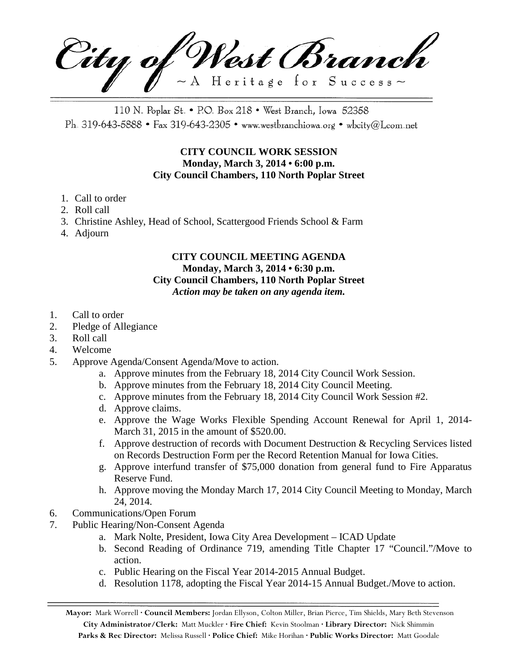City of West Branch  $\sim$  A Heritage for Success $\sim$ 

110 N. Poplar St. • P.O. Box 218 • West Branch, Iowa 52358 Ph. 319-643-5888 • Fax 319-643-2305 • www.westbranchiowa.org • wbcity@Lcom.net

## **CITY COUNCIL WORK SESSION Monday, March 3, 2014 • 6:00 p.m. City Council Chambers, 110 North Poplar Street**

- 1. Call to order
- 2. Roll call
- 3. Christine Ashley, Head of School, Scattergood Friends School & Farm
- 4. Adjourn

## **CITY COUNCIL MEETING AGENDA Monday, March 3, 2014 • 6:30 p.m. City Council Chambers, 110 North Poplar Street** *Action may be taken on any agenda item.*

- 1. Call to order
- 2. Pledge of Allegiance
- 3. Roll call
- 4. Welcome
- 5. Approve Agenda/Consent Agenda/Move to action.
	- a. Approve minutes from the February 18, 2014 City Council Work Session.
	- b. Approve minutes from the February 18, 2014 City Council Meeting.
	- c. Approve minutes from the February 18, 2014 City Council Work Session #2.
	- d. Approve claims.
	- e. Approve the Wage Works Flexible Spending Account Renewal for April 1, 2014- March 31, 2015 in the amount of \$520.00.
	- f. Approve destruction of records with Document Destruction & Recycling Services listed on Records Destruction Form per the Record Retention Manual for Iowa Cities.
	- g. Approve interfund transfer of \$75,000 donation from general fund to Fire Apparatus Reserve Fund.
	- h. Approve moving the Monday March 17, 2014 City Council Meeting to Monday, March 24, 2014.
- 6. Communications/Open Forum
- 7. Public Hearing/Non-Consent Agenda
	- a. Mark Nolte, President, Iowa City Area Development ICAD Update
	- b. Second Reading of Ordinance 719, amending Title Chapter 17 "Council."/Move to action.
	- c. Public Hearing on the Fiscal Year 2014-2015 Annual Budget.
	- d. Resolution 1178, adopting the Fiscal Year 2014-15 Annual Budget./Move to action.

**Mayor:** Mark Worrell **· Council Members:** Jordan Ellyson, Colton Miller, Brian Pierce, Tim Shields, Mary Beth Stevenson **City Administrator/Clerk:** Matt Muckler **· Fire Chief:** Kevin Stoolman **· Library Director:** Nick Shimmin **Parks & Rec Director:** Melissa Russell **· Police Chief:** Mike Horihan **· Public Works Director:** Matt Goodale